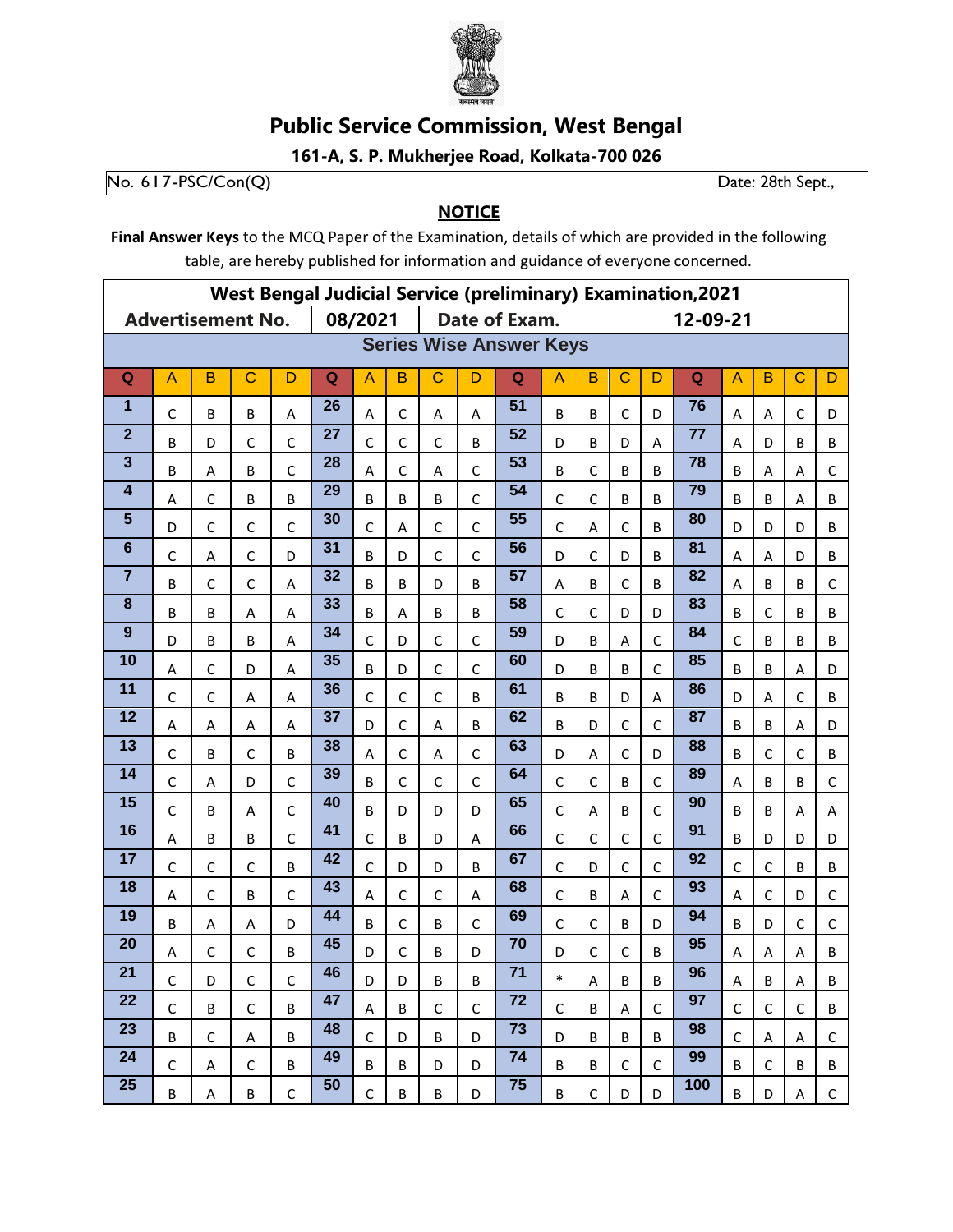

## **Public Service Commission, West Bengal**

161-A, S. P. Mukherjee Road, Kolkata-700 026

No.  $617-PSC/Con(Q)$ 

Date: 28th Sept.,

## **NOTICE**

Final Answer Keys to the MCQ Paper of the Examination, details of which are provided in the following table, are hereby published for information and guidance of everyone concerned.

| <b>West Bengal Judicial Service (preliminary) Examination, 2021</b> |              |                          |              |              |                          |                |              |              |              |                 |                |              |              |              |                 |                |              |              |              |  |
|---------------------------------------------------------------------|--------------|--------------------------|--------------|--------------|--------------------------|----------------|--------------|--------------|--------------|-----------------|----------------|--------------|--------------|--------------|-----------------|----------------|--------------|--------------|--------------|--|
|                                                                     |              | <b>Advertisement No.</b> |              |              | 08/2021<br>Date of Exam. |                |              |              |              |                 |                |              | 12-09-21     |              |                 |                |              |              |              |  |
| <b>Series Wise Answer Keys</b>                                      |              |                          |              |              |                          |                |              |              |              |                 |                |              |              |              |                 |                |              |              |              |  |
| Q                                                                   | A            | B                        | $\mathbf C$  | D            | Q                        | $\overline{A}$ | B            | $\mathsf{C}$ | D            | $\mathbf Q$     | $\overline{A}$ | B            | $\mathsf{C}$ | D            | Q               | $\overline{A}$ | B            | $\mathbf C$  | D            |  |
| 1                                                                   | $\mathsf C$  | B                        | B            | Α            | 26                       | Α              | $\mathsf C$  | A            | A            | 51              | B              | B            | $\mathsf C$  | D            | 76              | Α              | Α            | C            | D            |  |
| $\overline{2}$                                                      | B            | D                        | C            | $\mathsf C$  | 27                       | $\mathsf{C}$   | $\mathsf C$  | C            | B            | 52              | D              | B            | D            | A            | 77              | A              | D            | B            | B            |  |
| $\mathbf{3}$                                                        | B            | A                        | B            | C            | 28                       | $\overline{A}$ | $\mathsf{C}$ | A            | $\mathsf{C}$ | $\overline{53}$ | B              | $\mathsf{C}$ | B            | B            | $\overline{78}$ | B              | A            | A            | $\mathsf{C}$ |  |
| $\overline{\mathbf{4}}$                                             | Α            | $\mathsf{C}$             | B            | B            | 29                       | B              | B            | B            | $\mathsf{C}$ | 54              | C              | $\mathsf{C}$ | B            | B            | 79              | B              | B            | Α            | B            |  |
| 5                                                                   | D            | C                        | C            | $\mathsf{C}$ | 30                       | $\mathsf{C}$   | A            | C            | $\mathsf{C}$ | $\overline{55}$ | $\mathsf{C}$   | A            | C            | B            | 80              | D              | D            | D            | B            |  |
| $6\phantom{1}6$                                                     | $\mathsf{C}$ | А                        | $\mathsf{C}$ | D            | 31                       | B              | D            | $\mathsf{C}$ | $\mathsf{C}$ | 56              | D              | $\mathsf{C}$ | D            | B            | 81              | A              | Α            | D            | B            |  |
| $\overline{7}$                                                      | B            | $\mathsf{C}$             | $\mathsf{C}$ | A            | 32                       | B              | B            | D            | B            | $\overline{57}$ | A              | B            | C            | B            | 82              | A              | B            | B            | $\mathsf{C}$ |  |
| 8                                                                   | B            | B                        | A            | A            | 33                       | B              | A            | B            | B            | 58              | $\mathsf{C}$   | $\mathsf{C}$ | D            | D            | 83              | B              | C            | B            | B            |  |
| 9                                                                   | D            | B                        | B            | A            | 34                       | $\mathsf{C}$   | D            | $\mathsf{C}$ | $\mathsf{C}$ | 59              | D              | B            | A            | C            | 84              | $\mathsf{C}$   | B            | B            | B            |  |
| 10                                                                  | Α            | $\mathsf{C}$             | D            | A            | 35                       | B              | D            | $\mathsf{C}$ | $\mathsf{C}$ | 60              | D              | B            | B            | C            | 85              | B              | B            | A            | D            |  |
| 11                                                                  | $\mathsf C$  | $\mathsf{C}$             | Α            | A            | 36                       | $\mathsf{C}$   | $\mathsf C$  | $\mathsf{C}$ | B            | 61              | B              | B            | D            | A            | 86              | D              | Α            | $\mathsf C$  | B            |  |
| 12                                                                  | A            | A                        | A            | A            | 37                       | D              | $\mathsf C$  | A            | B            | 62              | B              | D            | $\mathsf{C}$ | $\mathsf{C}$ | 87              | B              | B            | A            | D            |  |
| 13                                                                  | $\mathsf C$  | B                        | $\mathsf{C}$ | B            | 38                       | $\overline{A}$ | $\mathsf C$  | A            | $\mathsf{C}$ | 63              | D              | A            | $\mathsf{C}$ | D            | 88              | B              | $\mathsf{C}$ | $\mathsf{C}$ | B            |  |
| 14                                                                  | $\mathsf C$  | A                        | D            | $\mathsf{C}$ | 39                       | B              | $\mathsf{C}$ | $\mathsf{C}$ | $\mathsf{C}$ | 64              | $\mathsf{C}$   | $\mathsf{C}$ | B            | C            | 89              | Α              | B            | B            | $\mathsf C$  |  |
| 15                                                                  | $\mathsf C$  | B                        | A            | $\mathsf{C}$ | 40                       | B              | D            | D            | D            | 65              | C              | А            | B            | C            | 90              | B              | B            | A            | A            |  |
| 16                                                                  | A            | B                        | B            | $\mathsf{C}$ | 41                       | $\mathsf{C}$   | B            | D            | A            | 66              | $\mathsf{C}$   | $\mathsf{C}$ | $\mathsf{C}$ | C            | 91              | B              | D            | D            | D            |  |
| 17                                                                  | $\mathsf C$  | $\mathsf{C}$             | $\mathsf{C}$ | B            | 42                       | $\mathsf{C}$   | D            | D            | B            | 67              | C              | D            | C            | $\mathsf{C}$ | 92              | C              | $\mathsf{C}$ | B            | B            |  |
| 18                                                                  | A            | $\mathsf{C}$             | B            | $\mathsf{C}$ | 43                       | A              | $\mathsf{C}$ | $\mathsf{C}$ | A            | 68              | $\mathsf{C}$   | B            | A            | C            | 93              | A              | $\mathsf{C}$ | D            | $\mathsf C$  |  |
| 19                                                                  | B            | A                        | A            | D            | 44                       | B              | $\mathsf{C}$ | B            | $\mathsf{C}$ | 69              | $\mathsf{C}$   | $\mathsf{C}$ | B            | D            | 94              | B              | D            | C            | $\mathsf{C}$ |  |
| 20                                                                  | Α            | $\mathsf{C}$             | C            | B            | 45                       | D              | $\mathsf{C}$ | B            | D            | $\overline{70}$ | D              | $\mathsf{C}$ | $\mathsf{C}$ | B            | 95              | Α              | Α            | Α            | B            |  |
| 21                                                                  | $\mathsf C$  | D                        | $\mathsf C$  | $\mathsf C$  | 46                       | D              | D            | B            | B            | 71              | $\ast$         | $\mathsf A$  | B            | B            | 96              | $\mathsf A$    | $\sf B$      | A            | $\sf B$      |  |
| 22                                                                  | $\mathsf{C}$ | B                        | $\mathsf{C}$ | B            | 47                       | $\mathsf{A}$   | B            | $\mathsf{C}$ | $\mathsf{C}$ | $\overline{72}$ | $\mathsf{C}$   | B            | A            | C.           | 97              | $\mathsf{C}$   | $\mathsf{C}$ | $\mathsf{C}$ | B            |  |
| 23                                                                  | B            | $\mathsf{C}$             | A            | B            | 48                       | $\mathsf{C}$   | D            | B            | D            | 73              | D              | B            | B            | B            | 98              | $\mathsf{C}$   | A            | A            | $\mathsf{C}$ |  |
| 24                                                                  | $\mathsf{C}$ | A                        | $\mathsf{C}$ | B            | 49                       | B              | B            | D            | D            | 74              | B              | В            | $\mathsf{C}$ | $\mathsf{C}$ | 99              | B              | $\mathsf C$  | B            | B            |  |
| 25                                                                  | B            | A                        | B            | $\mathsf{C}$ | 50                       | $\mathsf C$    | B            | B            | D            | 75              | B              | $\mathsf C$  | D            | D            | 100             | B              | D            | A            | $\mathsf{C}$ |  |